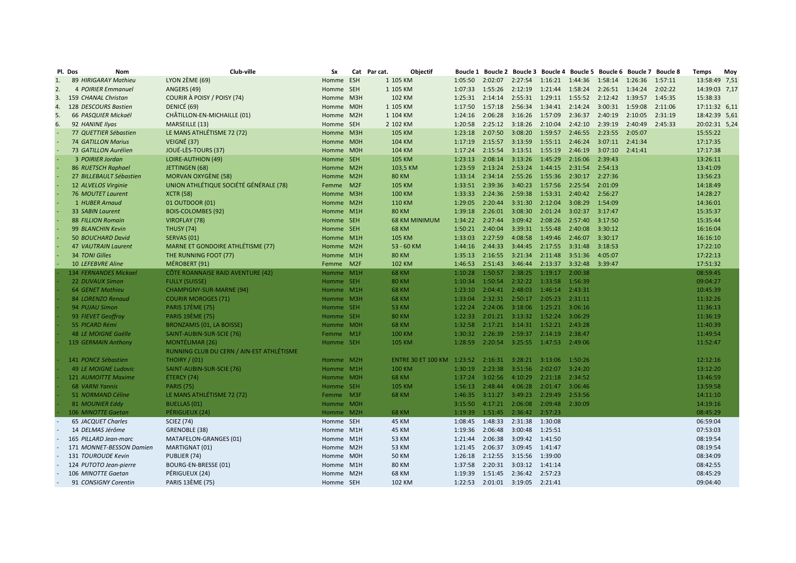| Pl. Dos | Nom                         | Club-ville                                | Sx        | Cat Par cat.<br><b>Objectif</b> |                  |         |                                 | Boucle 1 Boucle 2 Boucle 3 Boucle 4 Boucle 5 Boucle 6 Boucle 7 Boucle 8 |                 |         |         |         | <b>Temps</b>  | Moy |
|---------|-----------------------------|-------------------------------------------|-----------|---------------------------------|------------------|---------|---------------------------------|-------------------------------------------------------------------------|-----------------|---------|---------|---------|---------------|-----|
| 1.      | 89 HIRIGARAY Mathieu        | LYON $2EME(69)$                           | Homme ESH | 1 105 KM                        | 1:05:50          | 2:02:07 | 2:27:54                         | 1:16:21  1:44:36                                                        |                 | 1:58:14 | 1:26:36 | 1:57:11 | 13:58:49 7,51 |     |
| 2.      | <b>4 POIRIER Emmanuel</b>   | ANGERS (49)                               | Homme SEH | 1 105 KM                        | 1:07:33          | 1:55:26 | 2:12:19                         | 1:21:44 1:58:24                                                         |                 | 2:26:51 | 1:34:24 | 2:02:22 | 14:39:03 7,17 |     |
| 3.      | 159 CHANAL Christan         | COURIR À POISY / POISY (74)               | Homme M3H | 102 KM                          | 1:25:31  2:14:14 |         |                                 | 2:55:31  1:29:11  1:55:52  2:12:42  1:39:57                             |                 |         |         | 1:45:35 | 15:38:33      |     |
| 4.      | 128 DESCOURS Bastien        | DENICÉ (69)                               | Homme M0H | 1 105 KM                        | 1:17:50          | 1:57:18 | 2:56:34                         | 1:34:41 2:14:24                                                         |                 | 3:00:31 | 1:59:08 | 2:11:06 | 17:11:32 6,11 |     |
| 5.      | 66 PASQUIER Mickaël         | CHÂTILLON-EN-MICHAILLE (01)               | Homme M2H | 1 104 KM                        | 1:24:16          | 2:06:28 | 3:16:26                         | 1:57:09                                                                 | 2:36:37 2:40:19 |         | 2:10:05 | 2:31:19 | 18:42:39 5,61 |     |
| 6.      | 92 HANINE Ilyas             | MARSEILLE (13)                            | Homme SEH | 2 102 KM                        | 1:20:58          | 2:25:12 | 3:18:26                         | 2:10:04                                                                 | 2:42:10         | 2:39:19 | 2:40:49 | 2:45:33 | 20:02:31 5,24 |     |
|         | 77 QUETTIER Sébastien       | LE MANS ATHLÉTISME 72 (72)                | Homme M3H | <b>105 KM</b>                   | 1:23:18          | 2:07:50 | 3:08:20                         | 1:59:57 2:46:55 2:23:55                                                 |                 |         | 2:05:07 |         | 15:55:22      |     |
|         | <b>74 GATILLON Marius</b>   | VEIGNÉ (37)                               | Homme M0H | 104 KM                          | 1:17:19          | 2:15:57 | 3:13:59                         | 1:55:11 2:46:24 3:07:11 2:41:34                                         |                 |         |         |         | 17:17:35      |     |
|         | 73 GATILLON Aurélien        | JOUÉ-LÈS-TOURS (37)                       | Homme M0H | 104 KM                          | 1:17:24          | 2:15:54 |                                 | 3:13:51 1:55:19 2:46:19                                                 |                 | 3:07:10 | 2:41:41 |         | 17:17:38      |     |
|         | 3 POIRIER Jordan            | <b>LOIRE-AUTHION (49)</b>                 | Homme SEH | 105 KM                          | 1:23:13          | 2:08:14 | 3:13:26                         | 1:45:29 2:16:06                                                         |                 | 2:39:43 |         |         | 13:26:11      |     |
|         | 86 RUETSCH Raphael          | JETTINGEN (68)                            | Homme M2H | 103,5 KM                        | 1:23:59          | 2:13:24 | 2:53:24                         | 1:44:15 2:31:54                                                         |                 | 2:54:13 |         |         | 13:41:09      |     |
|         | 27 BILLEBAULT Sébastien     | <b>MORVAN OXYGÈNE (58)</b>                | Homme M2H | <b>80 KM</b>                    | 1:33:14          | 2:34:14 | 2:55:26                         | 1:55:36 2:30:17 2:27:36                                                 |                 |         |         |         | 13:56:23      |     |
|         | 12 ALVELOS Virginie         | UNION ATHLÉTIQUE SOCIÉTÉ GÉNÉRALE (78)    | Femme M2F | 105 KM                          | 1:33:51          | 2:39:36 | 3:40:23                         | 1:57:56 2:25:54                                                         |                 | 2:01:09 |         |         | 14:18:49      |     |
|         | 76 MOUTET Laurent           | <b>XCTR (58)</b>                          | Homme M3H | <b>100 KM</b>                   | 1:33:33          | 2:24:36 | 2:59:38                         | 1:53:31 2:40:42 2:56:27                                                 |                 |         |         |         | 14:28:27      |     |
|         | 1 HUBER Arnaud              | 01 OUTDOOR (01)                           | Homme M2H | <b>110 KM</b>                   | 1:29:05          | 2:20:44 | 3:31:30                         | 2:12:04                                                                 | 3:08:29         | 1:54:09 |         |         | 14:36:01      |     |
|         | 33 SABIN Laurent            | <b>BOIS-COLOMBES (92)</b>                 | Homme M1H | <b>80 KM</b>                    | 1:39:18          | 2:26:01 | 3:08:30                         | 2:01:24 3:02:37 3:17:47                                                 |                 |         |         |         | 15:35:37      |     |
|         | <b>88 FILLION Romain</b>    | VIROFLAY (78)                             | Homme SEH | <b>68 KM MINIMUM</b>            | 1:34:22          | 2:27:44 | 3:09:42                         | 2:08:26 2:57:40 3:17:50                                                 |                 |         |         |         | 15:35:44      |     |
|         | 99 BLANCHIN Kevin           | <b>THUSY (74)</b>                         | Homme SEH | <b>68 KM</b>                    | 1:50:21          | 2:40:04 | 3:39:31                         | 1:55:48                                                                 | 2:40:08         | 3:30:12 |         |         | 16:16:04      |     |
|         | 50 BOUCHARD David           | SERVAS (01)                               | Homme M1H | <b>105 KM</b>                   | 1:33:03          | 2:27:59 | 4:08:58                         | 1:49:46 2:46:07 3:30:17                                                 |                 |         |         |         | 16:16:10      |     |
|         | <b>47 VAUTRAIN Laurent</b>  | <b>MARNE ET GONDOIRE ATHLÉTISME (77)</b>  | Homme M2H | 53 - 60 KM                      | 1:44:16          | 2:44:33 | 3:44:45                         | 2:17:55                                                                 | 3:31:48         | 3:18:53 |         |         | 17:22:10      |     |
|         | 34 TONI Gilles              | THE RUNNING FOOT (77)                     | Homme M1H | <b>80 KM</b>                    | 1:35:13          | 2:16:55 | 3:21:34                         | 2:11:48 3:51:36                                                         |                 | 4:05:07 |         |         | 17:22:13      |     |
|         | <b>10 LEFEBVRE Aline</b>    | MÉROBERT (91)                             | Femme M2F | <b>102 KM</b>                   | 1:46:53          | 2:51:43 | 3:46:44                         | 2:13:37                                                                 | 3:32:48         | 3:39:47 |         |         | 17:51:32      |     |
|         | 134 FERNANDES Mickael       |                                           | Homme M1H |                                 | 1:10:28          | 1:50:57 | 2:38:25 1:19:17                 |                                                                         | 2:00:38         |         |         |         | 08:59:45      |     |
|         |                             | CÔTE ROANNAISE RAID AVENTURE (42)         | Homme SEH | <b>68 KM</b><br><b>80 KM</b>    | 1:10:34          | 1:50:54 | 2:32:22                         | 1:33:58                                                                 | 1:56:39         |         |         |         | 09:04:27      |     |
|         | 22 DUVAUX Simon             | <b>FULLY (SUISSE)</b>                     |           |                                 | 1:23:10          | 2:04:41 | 2:48:03                         | 1:46:14 2:43:31                                                         |                 |         |         |         | 10:45:39      |     |
|         | 64 GENET Mathieu            | <b>CHAMPIGNY-SUR-MARNE (94)</b>           | Homme M1H | <b>68 KM</b>                    |                  |         |                                 |                                                                         |                 |         |         |         |               |     |
|         | 84 LORENZO Renaud           | <b>COURIR MOROGES (71)</b>                | Homme M3H | <b>68 KM</b>                    | 1:33:04          |         |                                 | 2:32:31 2:50:17 2:05:23 2:31:11                                         |                 |         |         |         | 11:32:26      |     |
|         | 94 PUJAU Simon              | <b>PARIS 17ÈME (75)</b>                   | Homme SEH | <b>53 KM</b>                    | 1:22:24          | 2:24:06 | 3:18:06                         | 1:25:21 3:06:16                                                         |                 |         |         |         | 11:36:13      |     |
|         | 93 FIEVET Geoffroy          | <b>PARIS 19ÈME (75)</b>                   | Homme SEH | <b>80 KM</b>                    | 1:22:33          | 2:01:21 |                                 | 3:13:32 1:52:24 3:06:29                                                 |                 |         |         |         | 11:36:19      |     |
|         | 55 PICARD Rémi              | <b>BRONZAMIS (01, LA BOISSE)</b>          | Homme M0H | <b>68 KM</b>                    | 1:32:58          | 2:17:21 | 3:14:31 1:52:21                 |                                                                         | 2:43:28         |         |         |         | 11:40:39      |     |
|         | 48 LE MOIGNE Gaëlle         | SAINT-AUBIN-SUR-SCIE (76)                 | Femme M1F | <b>100 KM</b>                   | 1:30:32          | 2:26:39 |                                 | 2:59:37 2:14:19 2:38:47                                                 |                 |         |         |         | 11:49:54      |     |
|         | 119 GERMAIN Anthony         | <b>MONTÉLIMAR (26)</b>                    | Homme SEH | <b>105 KM</b>                   | 1:28:59          |         |                                 | 2:20:54 3:25:55 1:47:53 2:49:06                                         |                 |         |         |         | 11:52:47      |     |
|         |                             | RUNNING CLUB DU CERN / AIN-EST ATHLÉTISME |           |                                 |                  |         |                                 |                                                                         |                 |         |         |         |               |     |
|         | 141 PONCE Sébastien         | <b>THOIRY / (01)</b>                      | Homme M2H | ENTRE 30 ET 100 KM 1:23:52      |                  |         | 2:16:31  3:28:21  3:13:06       |                                                                         | 1:50:26         |         |         |         | 12:12:16      |     |
|         | <b>49 LE MOIGNE Ludovic</b> | SAINT-AUBIN-SUR-SCIE (76)                 | Homme M1H | 100 KM                          | 1:30:19          | 2:23:38 | 3:51:56 2:02:07                 |                                                                         | 3:24:20         |         |         |         | 13:12:20      |     |
|         | 121 AUMOITTE Maxime         | ÉTERCY (74)                               | Homme M0H | <b>68 KM</b>                    | 1:37:24          | 3:02:56 |                                 | 4:10:29 2:21:18 2:34:52                                                 |                 |         |         |         | 13:46:59      |     |
|         | <b>68 VARNI Yannis</b>      | <b>PARIS (75)</b>                         | Homme SEH | 105 KM                          | 1:56:13          | 2:48:44 | 4:06:28                         | 2:01:47                                                                 | 3:06:46         |         |         |         | 13:59:58      |     |
|         | 51 NORMAND Céline           | LE MANS ATHLÉTISME 72 (72)                | Femme M3F | <b>68 KM</b>                    | 1:46:35          |         |                                 | 3:11:27 3:49:23 2:29:49 2:53:56                                         |                 |         |         |         | 14:11:10      |     |
|         | 81 MOUNIER Eddy             | <b>BUELLAS (01)</b>                       | Homme M0H |                                 | 3:15:50          | 4:17:21 | 2:06:08                         | 2:09:48                                                                 | 2:30:09         |         |         |         | 14:19:16      |     |
|         | 106 MINOTTE Gaetan          | PÉRIGUEUX (24)                            | Homme M2H | <b>68 KM</b>                    | 1:19:39          |         | 1:51:45 2:36:42 2:57:23         |                                                                         |                 |         |         |         | 08:45:29      |     |
|         | <b>65 JACQUET Charles</b>   | <b>SCIEZ (74)</b>                         | Homme SEH | 45 KM                           | 1:08:45          | 1:48:33 | 2:31:38                         | 1:30:08                                                                 |                 |         |         |         | 06:59:04      |     |
|         | 14 DELMAS Jérôme            | GRENOBLE (38)                             | Homme M1H | <b>45 KM</b>                    | 1:19:36          | 2:06:48 | 3:00:48                         | 1:25:51                                                                 |                 |         |         |         | 07:53:03      |     |
|         | 165 PILLARD Jean-marc       | MATAFELON-GRANGES (01)                    | Homme M1H | 53 KM                           | 1:21:44          | 2:06:38 | 3:09:42 1:41:50                 |                                                                         |                 |         |         |         | 08:19:54      |     |
|         | 171 MONNET-BESSON Damien    | MARTIGNAT (01)                            | Homme M2H | <b>53 KM</b>                    | 1:21:45          | 2:06:37 | 3:09:45                         | 1:41:47                                                                 |                 |         |         |         | 08:19:54      |     |
|         | 131 TOUROUDE Kevin          | PUBLIER (74)                              | Homme M0H | <b>50 KM</b>                    | 1:26:18          | 2:12:55 | 3:15:56 1:39:00                 |                                                                         |                 |         |         |         | 08:34:09      |     |
|         | 124 PUTOTO Jean-pierre      | BOURG-EN-BRESSE (01)                      | Homme M1H | <b>80 KM</b>                    | 1:37:58          | 2:20:31 | 3:03:12 1:41:14                 |                                                                         |                 |         |         |         | 08:42:55      |     |
|         | 106 MINOTTE Gaetan          | PÉRIGUEUX (24)                            | Homme M2H | <b>68 KM</b>                    | 1:19:39          | 1:51:45 | 2:36:42 2:57:23                 |                                                                         |                 |         |         |         | 08:45:29      |     |
|         | 91 CONSIGNY Corentin        | <b>PARIS 13ÈME (75)</b>                   | Homme SEH | 102 KM                          |                  |         | 1:22:53 2:01:01 3:19:05 2:21:41 |                                                                         |                 |         |         |         | 09:04:40      |     |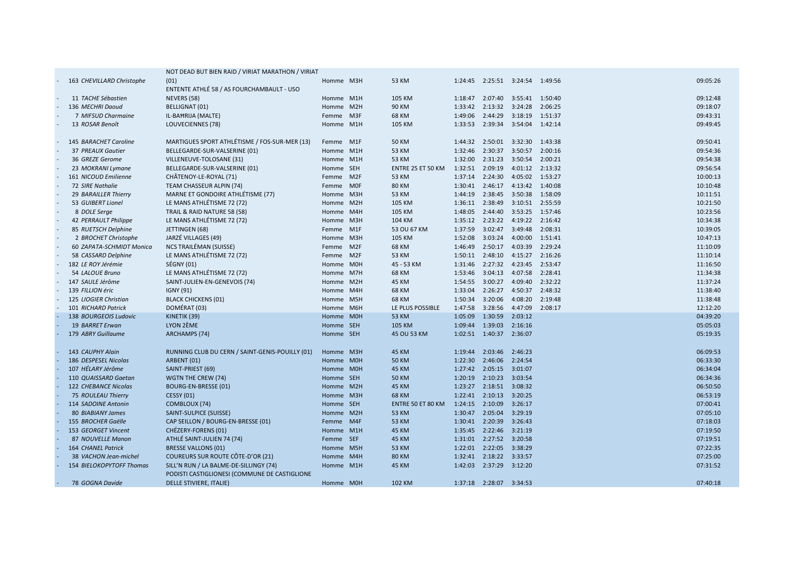|                                      | NOT DEAD BUT BIEN RAID / VIRIAT MARATHON / VIRIAT |           |                   |         |                                    |                 |         |                      |
|--------------------------------------|---------------------------------------------------|-----------|-------------------|---------|------------------------------------|-----------------|---------|----------------------|
| 163 CHEVILLARD Christophe            | (01)                                              | Homme M3H | 53 KM             | 1:24:45 |                                    |                 |         | 09:05:26             |
|                                      | ENTENTE ATHLÉ 58 / AS FOURCHAMBAULT - USO         |           |                   |         |                                    |                 |         |                      |
| 11 TACHE Sébastien                   | NEVERS (58)                                       | Homme M1H | 105 KM            |         | 1:18:47 2:07:40 3:55:41 1:50:40    |                 |         | 09:12:48             |
| 136 MECHRI Daoud                     | <b>BELLIGNAT (01)</b>                             | Homme M2H | <b>90 KM</b>      | 1:33:42 | 2:13:32 3:24:28                    |                 | 2:06:25 | 09:18:07             |
| 7 MIFSUD Charmaine                   | IL-BAHRIJA (MALTE)                                | Femme M3F | 68 KM             | 1:49:06 | 2:44:29                            | 3:18:19         | 1:51:37 | 09:43:31             |
| 13 ROSAR Benoît                      | LOUVECIENNES (78)                                 | Homme M1H | 105 KM            | 1:33:53 | 2:39:34                            | 3:54:04         | 1:42:14 | 09:49:45             |
|                                      |                                                   |           |                   |         |                                    |                 |         |                      |
| 145 BARACHET Caroline                | MARTIGUES SPORT ATHLÉTISME / FOS-SUR-MER (13)     | Femme M1F | <b>50 KM</b>      |         | 1:44:32  2:50:01  3:32:30  1:43:38 |                 |         | 09:50:41             |
| 37 PREAUX Gautier                    | BELLEGARDE-SUR-VALSERINE (01)                     | Homme M1H | 53 KM             | 1:32:46 | 2:30:37                            | 3:50:57         | 2:00:16 | 09:54:36             |
| 36 GREZE Gerome                      | VILLENEUVE-TOLOSANE (31)                          | Homme M1H | 53 KM             | 1:32:00 | 2:31:23                            | 3:50:54         | 2:00:21 | 09:54:38             |
| 23 MOKRANI Lymane                    | BELLEGARDE-SUR-VALSERINE (01)                     | Homme SEH | ENTRE 25 ET 50 KM | 1:32:51 | 2:09:19                            | 4:01:12         | 2:13:32 | 09:56:54             |
| 161 NICOUD Emilienne                 | CHÂTENOY-LE-ROYAL (71)                            | Femme M2F | 53 KM             | 1:37:14 | 2:24:30                            | 4:05:02         | 1:53:27 | 10:00:13             |
| <b>72 SIRE Nathalie</b>              | TEAM CHASSEUR ALPIN (74)                          | Femme M0F | <b>80 KM</b>      |         | 1:30:41 2:46:17                    | 4:13:42         | 1:40:08 | 10:10:48             |
| 29 BARAILLER Thierry                 | MARNE ET GONDOIRE ATHLÉTISME (77)                 | Homme M3H | <b>53 KM</b>      |         | 1:44:19 2:38:45 3:50:38            |                 | 1:58:09 | 10:11:51             |
| 53 GUIBERT Lionel                    | LE MANS ATHLÉTISME 72 (72)                        | Homme M2H | 105 KM            |         | 1:36:11 2:38:49 3:10:51 2:55:59    |                 |         | 10:21:50             |
| 8 DOLE Serge                         | TRAIL & RAID NATURE 58 (58)                       | Homme M4H | 105 KM            | 1:48:05 | 2:44:40 3:53:25 1:57:46            |                 |         | 10:23:56             |
| 42 PERRAULT Philippe                 | LE MANS ATHLÉTISME 72 (72)                        | Homme M3H | 104 KM            |         | 1:35:12 2:23:22 4:19:22 2:16:42    |                 |         | 10:34:38             |
| 85 RUETSCH Delphine                  | JETTINGEN (68)                                    | Femme M1F | 53 OU 67 KM       | 1:37:59 | 3:02:47 3:49:48                    |                 | 2:08:31 | 10:39:05             |
| 2 BROCHET Christophe                 | JARZÉ VILLAGES (49)                               | Homme M3H | 105 KM            | 1:52:08 | 3:03:24                            | 4:00:00         | 1:51:41 | 10:47:13             |
| 60 ZAPATA-SCHMIDT Monica             | NCS TRAILÉMAN (SUISSE)                            | Femme M2F | 68 KM             | 1:46:49 | 2:50:17                            | 4:03:39         | 2:29:24 | 11:10:09             |
| 58 CASSARD Delphine                  | LE MANS ATHLÉTISME 72 (72)                        | Femme M2F | <b>53 KM</b>      |         | 1:50:11  2:48:10                   | 4:15:27 2:16:26 |         | 11:10:14             |
| 182 LE ROY Jérémie                   | SÉGNY (01)                                        | Homme M0H | 45 - 53 KM        |         | 1:31:46 2:27:32 4:23:45            |                 | 2:53:47 | 11:16:50             |
| 54 LALOUE Bruno                      | LE MANS ATHLÉTISME 72 (72)                        | Homme M7H | <b>68 KM</b>      | 1:53:46 | 3:04:13                            | 4:07:58         | 2:28:41 | 11:34:38             |
|                                      |                                                   | Homme M2H |                   |         | 3:00:27                            | 4:09:40         | 2:32:22 | 11:37:24             |
| 147 SAULE Jérôme<br>139 FILLION éric | SAINT-JULIEN-EN-GENEVOIS (74)                     | Homme M4H | 45 KM             | 1:54:55 | 2:26:27                            | 4:50:37         | 2:48:32 |                      |
|                                      | <b>IGNY (91)</b>                                  | Homme M5H | 68 KM             | 1:33:04 | 3:20:06                            | 4:08:20         | 2:19:48 | 11:38:40<br>11:38:48 |
| 125 LIOGIER Christian                | <b>BLACK CHICKENS (01)</b>                        |           | 68 KM             | 1:50:34 |                                    | 4:47:09         |         | 12:12:20             |
| 101 RICHARD Patrick                  | DOMÉRAT (03)                                      | Homme M6H | LE PLUS POSSIBLE  | 1:47:58 | 3:28:56                            |                 | 2:08:17 |                      |
| 138 BOURGEOIS Ludovic                | KINETIK (39)                                      | Homme M0H | <b>53 KM</b>      | 1:05:09 | 1:30:59                            | 2:03:12         |         | 04:39:20             |
| 19 BARRET Erwan                      | LYON 2ÈME                                         | Homme SEH | 105 KM            | 1:09:44 | 1:39:03                            | 2:16:16         |         | 05:05:03             |
| 179 ABRY Guillaume                   | <b>ARCHAMPS (74)</b>                              | Homme SEH | 45 OU 53 KM       |         | 1:02:51 1:40:37                    | 2:36:07         |         | 05:19:35             |
|                                      |                                                   |           |                   |         |                                    |                 |         |                      |
| 143 CAUPHY Alain                     | RUNNING CLUB DU CERN / SAINT-GENIS-POUILLY (01)   | Homme M3H | <b>45 KM</b>      | 1:19:44 | 2:03:46 2:46:23                    |                 |         | 06:09:53             |
| 186 DESPESEL Nicolas                 | ARBENT (01)                                       | Homme M0H | <b>50 KM</b>      |         | 1:22:30 2:46:06 2:24:54            |                 |         | 06:33:30             |
| 107 HÉLARY Jérôme                    | SAINT-PRIEST (69)                                 | Homme M0H | <b>45 KM</b>      | 1:27:42 | 2:05:15                            | 3:01:07         |         | 06:34:04             |
| 110 QUAISSARD Gaetan                 | WGTN THE CREW (74)                                | Homme SEH | <b>50 KM</b>      | 1:20:19 | 2:10:23 3:03:54                    |                 |         | 06:34:36             |
| 122 CHEBANCE Nicolas                 | <b>BOURG-EN-BRESSE (01)</b>                       | Homme M2H | <b>45 KM</b>      |         | 1:23:27 2:18:51 3:08:32            |                 |         | 06:50:50             |
| 75 ROULEAU Thierry                   | <b>CESSY (01)</b>                                 | Homme M3H | <b>68 KM</b>      |         | 1:22:41 2:10:13 3:20:25            |                 |         | 06:53:19             |
| 114 SADOINE Antonin                  | COMBLOUX (74)                                     | Homme SEH | ENTRE 50 ET 80 KM | 1:24:15 | 2:10:09                            | 3:26:17         |         | 07:00:41             |
| 80 BIABIANY James                    | SAINT-SULPICE (SUISSE)                            | Homme M2H | <b>53 KM</b>      |         | 1:30:47 2:05:04                    | 3:29:19         |         | 07:05:10             |
| 155 BROCHER Gaëlle                   | CAP SEILLON / BOURG-EN-BRESSE (01)                | Femme M4F | <b>53 KM</b>      |         | 1:30:41 2:20:39 3:26:43            |                 |         | 07:18:03             |
| 153 GEORGET Vincent                  | CHÉZERY-FORENS (01)                               | Homme M1H | <b>45 KM</b>      | 1:35:45 | 2:22:46 3:21:19                    |                 |         | 07:19:50             |
| 87 NOUVELLE Manon                    | ATHLÉ SAINT-JULIEN 74 (74)                        | Femme SEF | <b>45 KM</b>      |         | 1:31:01 2:27:52 3:20:58            |                 |         | 07:19:51             |
| <b>164 CHANEL Patrick</b>            | <b>BRESSE VALLONS (01)</b>                        | Homme M5H | <b>53 KM</b>      | 1:22:01 | 2:22:05 3:38:29                    |                 |         | 07:22:35             |
| 38 VACHON Jean-michel                | COUREURS SUR ROUTE CÔTE-D'OR (21)                 | Homme M4H | <b>80 KM</b>      |         | 1:32:41 2:18:22 3:33:57            |                 |         | 07:25:00             |
| <b>154 BIELOKOPYTOFF Thomas</b>      | SILL'N RUN / LA BALME-DE-SILLINGY (74)            | Homme M1H | <b>45 KM</b>      | 1:42:03 | 2:37:29 3:12:20                    |                 |         | 07:31:52             |
|                                      | PODISTI CASTIGLIONESI (COMMUNE DE CASTIGLIONE     |           |                   |         |                                    |                 |         |                      |
| 78 GOGNA Davide                      | DELLE STIVIERE, ITALIE)                           | Homme M0H | 102 KM            |         | 1:37:18 2:28:07 3:34:53            |                 |         | 07:40:18             |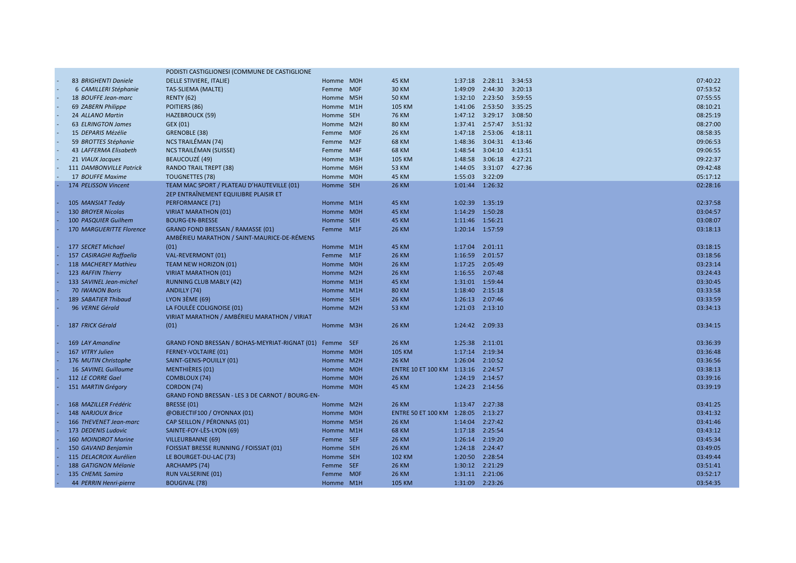|                                 | PODISTI CASTIGLIONESI (COMMUNE DE CASTIGLIONE    |           |                            |                  |                         |         |          |
|---------------------------------|--------------------------------------------------|-----------|----------------------------|------------------|-------------------------|---------|----------|
| 83 BRIGHENTI Daniele            | DELLE STIVIERE, ITALIE)                          | Homme M0H | <b>45 KM</b>               |                  | 1:37:18 2:28:11 3:34:53 |         | 07:40:22 |
| 6 CAMILLERI Stéphanie           | TAS-SLIEMA (MALTE)                               | Femme MOF | <b>30 KM</b>               | 1:49:09          | 2:44:30 3:20:13         |         | 07:53:52 |
| 18 BOUFFE Jean-marc             | <b>RENTY (62)</b>                                | Homme M5H | <b>50 KM</b>               | 1:32:10          | 2:23:50 3:59:55         |         | 07:55:55 |
| 69 ZABERN Philippe              | POITIERS (86)                                    | Homme M1H | 105 KM                     | 1:41:06          | 2:53:50 3:35:25         |         | 08:10:21 |
| 24 ALLANO Martin                | <b>HAZEBROUCK (59)</b>                           | Homme SEH | <b>76 KM</b>               |                  | 1:47:12 3:29:17 3:08:50 |         | 08:25:19 |
| <b>63 ELRINGTON James</b>       | GEX (01)                                         | Homme M2H | <b>80 KM</b>               | 1:37:41          | 2:57:47                 | 3:51:32 | 08:27:00 |
| 15 DEPARIS Mézélie              | GRENOBLE (38)                                    | Femme M0F | <b>26 KM</b>               |                  | 1:47:18 2:53:06         | 4:18:11 | 08:58:35 |
| 59 BROTTES Stéphanie            | NCS TRAILÉMAN (74)                               | Femme M2F | <b>68 KM</b>               | 1:48:36          | 3:04:31 4:13:46         |         | 09:06:53 |
| 43 LAFFERMA Elisabeth           | NCS TRAILÉMAN (SUISSE)                           | Femme M4F | <b>68 KM</b>               | 1:48:54          | 3:04:10 4:13:51         |         | 09:06:55 |
| 21 VIAUX Jacques                | BEAUCOUZÉ (49)                                   | Homme M3H | 105 KM                     | 1:48:58          | 3:06:18                 | 4:27:21 | 09:22:37 |
| 111 DAMBONVILLE Patrick         | <b>RANDO TRAIL TREPT (38)</b>                    | Homme M6H | <b>53 KM</b>               | 1:44:05          | 3:31:07                 | 4:27:36 | 09:42:48 |
| 17 BOUFFE Maxime                | <b>TOUGNETTES (78)</b>                           | Homme M0H | <b>45 KM</b>               | 1:55:03          | 3:22:09                 |         | 05:17:12 |
| 174 PELISSON Vincent            | TEAM MAC SPORT / PLATEAU D'HAUTEVILLE (01)       | Homme SEH | <b>26 KM</b>               | 1:01:44          | 1:26:32                 |         | 02:28:16 |
|                                 | 2EP ENTRAÎNEMENT EQUILIBRE PLAISIR ET            |           |                            |                  |                         |         |          |
| 105 MANSIAT Teddy               | <b>PERFORMANCE (71)</b>                          | Homme M1H | <b>45 KM</b>               | 1:02:39          | 1:35:19                 |         | 02:37:58 |
| <b>130 BROYER Nicolas</b>       | <b>VIRIAT MARATHON (01)</b>                      | Homme M0H | <b>45 KM</b>               | 1:14:29          | 1:50:28                 |         | 03:04:57 |
| 100 PASQUIER Guilhem            | <b>BOURG-EN-BRESSE</b>                           | Homme SEH | <b>45 KM</b>               | 1:11:46 1:56:21  |                         |         | 03:08:07 |
| <b>170 MARGUERITTE Florence</b> | <b>GRAND FOND BRESSAN / RAMASSE (01)</b>         | Femme M1F | <b>26 KM</b>               | 1:20:14 1:57:59  |                         |         | 03:18:13 |
|                                 | AMBÉRIEU MARATHON / SAINT-MAURICE-DE-RÉMENS      |           |                            |                  |                         |         |          |
| 177 SECRET Michael              | (01)                                             | Homme M1H | <b>45 KM</b>               | 1:17:04          | 2:01:11                 |         | 03:18:15 |
| 157 CASIRAGHI Raffaella         | VAL-REVERMONT (01)                               | Femme M1F | <b>26 KM</b>               | 1:16:59          | 2:01:57                 |         | 03:18:56 |
| 118 MACHEREY Mathieu            | <b>TEAM NEW HORIZON (01)</b>                     | Homme M0H | <b>26 KM</b>               | 1:17:25 2:05:49  |                         |         | 03:23:14 |
| 123 RAFFIN Thierry              | <b>VIRIAT MARATHON (01)</b>                      | Homme M2H | <b>26 KM</b>               | 1:16:55 2:07:48  |                         |         | 03:24:43 |
| 133 SAVINEL Jean-michel         | <b>RUNNING CLUB MABLY (42)</b>                   | Homme M1H | <b>45 KM</b>               | 1:31:01  1:59:44 |                         |         | 03:30:45 |
| <b>70 IWANON Boris</b>          | ANDILLY (74)                                     | Homme M1H | <b>80 KM</b>               | 1:18:40 2:15:18  |                         |         | 03:33:58 |
| <b>189 SABATIER Thibaud</b>     | LYON $3$ EME (69)                                | Homme SEH | <b>26 KM</b>               | 1:26:13 2:07:46  |                         |         | 03:33:59 |
| 96 VERNE Gérald                 | LA FOULÉE COLIGNOISE (01)                        | Homme M2H | <b>53 KM</b>               | 1:21:03 2:13:10  |                         |         | 03:34:13 |
|                                 | VIRIAT MARATHON / AMBÉRIEU MARATHON / VIRIAT     |           |                            |                  |                         |         |          |
| 187 FRICK Gérald                | (01)                                             | Homme M3H | <b>26 KM</b>               | 1:24:42          | 2:09:33                 |         | 03:34:15 |
|                                 |                                                  |           |                            |                  |                         |         |          |
| 169 LAY Amandine                | GRAND FOND BRESSAN / BOHAS-MEYRIAT-RIGNAT (01)   | Femme SEF | <b>26 KM</b>               | 1:25:38 2:11:01  |                         |         | 03:36:39 |
| 167 VITRY Julien                | <b>FERNEY-VOLTAIRE (01)</b>                      | Homme M0H | 105 KM                     | 1:17:14          | 2:19:34                 |         | 03:36:48 |
| 176 MUTIN Christophe            | SAINT-GENIS-POUILLY (01)                         | Homme M2H | <b>26 KM</b>               | 1:26:04          | 2:10:52                 |         | 03:36:56 |
| <b>16 SAVINEL Guillaume</b>     | <b>MENTHIÈRES (01)</b>                           | Homme M0H | ENTRE 10 ET 100 KM 1:13:16 |                  | 2:24:57                 |         | 03:38:13 |
| 112 LE CORRE Gael               | COMBLOUX (74)                                    | Homme M0H | <b>26 KM</b>               | 1:24:19 2:14:57  |                         |         | 03:39:16 |
| 151 MARTIN Grégory              | CORDON (74)                                      | Homme M0H | <b>45 KM</b>               | 1:24:23 2:14:56  |                         |         | 03:39:19 |
|                                 | GRAND FOND BRESSAN - LES 3 DE CARNOT / BOURG-EN- |           |                            |                  |                         |         |          |
| 168 MAZILLER Frédéric           | BRESSE (01)                                      | Homme M2H | <b>26 KM</b>               | 1:13:47 2:27:38  |                         |         | 03:41:25 |
| 148 NARJOUX Brice               | @OBJECTIF100 / OYONNAX (01)                      | Homme M0H | ENTRE 50 ET 100 KM 1:28:05 |                  | 2:13:27                 |         | 03:41:32 |
| 166 THEVENET Jean-marc          | CAP SEILLON / PÉRONNAS (01)                      | Homme M5H | <b>26 KM</b>               | 1:14:04 2:27:42  |                         |         | 03:41:46 |
| 173 DEDENIS Ludovic             | SAINTE-FOY-LÈS-LYON (69)                         | Homme M1H | <b>68 KM</b>               | 1:17:18 2:25:54  |                         |         | 03:43:12 |
| 160 MOINDROT Marine             | <b>VILLEURBANNE (69)</b>                         | Femme SEF | <b>26 KM</b>               | 1:26:14 2:19:20  |                         |         | 03:45:34 |
| 150 GAVAND Benjamin             | <b>FOISSIAT BRESSE RUNNING / FOISSIAT (01)</b>   | Homme SEH | <b>26 KM</b>               | 1:24:18 2:24:47  |                         |         | 03:49:05 |
| 115 DELACROIX Aurélien          | LE BOURGET-DU-LAC (73)                           | Homme SEH | 102 KM                     | 1:20:50 2:28:54  |                         |         | 03:49:44 |
| 188 GATIGNON Mélanie            | <b>ARCHAMPS (74)</b>                             | Femme SEF | <b>26 KM</b>               | 1:30:12 2:21:29  |                         |         | 03:51:41 |
| 135 CHEMIL Samira               | <b>RUN VALSERINE (01)</b>                        | Femme MOF | <b>26 KM</b>               | 1:31:11 2:21:06  |                         |         | 03:52:17 |
| 44 PERRIN Henri-pierre          | <b>BOUGIVAL (78)</b>                             | Homme M1H | <b>105 KM</b>              | 1:31:09 2:23:26  |                         |         | 03:54:35 |
|                                 |                                                  |           |                            |                  |                         |         |          |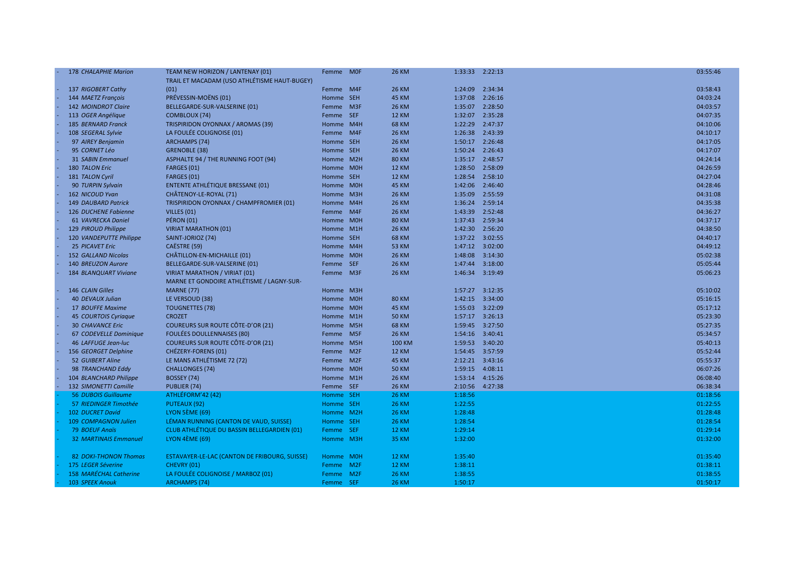| 178 CHALAPHIE Marion         | TEAM NEW HORIZON / LANTENAY (01)                   | Femme MOF |                 | <b>26 KM</b>  |         | 1:33:33 2:22:13  | 03:55:46 |
|------------------------------|----------------------------------------------------|-----------|-----------------|---------------|---------|------------------|----------|
|                              | TRAIL ET MACADAM (USO ATHLÉTISME HAUT-BUGEY)       |           |                 |               |         |                  |          |
| 137 RIGOBERT Cathy           | (01)                                               | Femme M4F |                 | <b>26 KM</b>  |         | 1:24:09 2:34:34  | 03:58:43 |
| 144 MAETZ François           | PRÉVESSIN-MOËNS (01)                               | Homme SEH |                 | <b>45 KM</b>  |         | 1:37:08 2:26:16  | 04:03:24 |
| 142 MOINDROT Claire          | BELLEGARDE-SUR-VALSERINE (01)                      | Femme M3F |                 | <b>26 KM</b>  |         | 1:35:07 2:28:50  | 04:03:57 |
| 113 OGER Angélique           | COMBLOUX (74)                                      | Femme SEF |                 | <b>12 KM</b>  |         | 1:32:07 2:35:28  | 04:07:35 |
| <b>185 BERNARD Franck</b>    | TRISPIRIDON OYONNAX / AROMAS (39)                  | Homme M4H |                 | <b>68 KM</b>  |         | 1:22:29 2:47:37  | 04:10:06 |
| 108 SEGERAL Sylvie           | LA FOULÉE COLIGNOISE (01)                          | Femme M4F |                 | <b>26 KM</b>  |         | 1:26:38 2:43:39  | 04:10:17 |
| 97 AIREY Benjamin            | <b>ARCHAMPS (74)</b>                               | Homme SEH |                 | <b>26 KM</b>  |         | 1:50:17 2:26:48  | 04:17:05 |
| 95 CORNET Léo                | <b>GRENOBLE (38)</b>                               | Homme SEH |                 | <b>26 KM</b>  |         | 1:50:24 2:26:43  | 04:17:07 |
| <b>31 SABIN Emmanuel</b>     | ASPHALTE 94 / THE RUNNING FOOT (94)                | Homme M2H |                 | <b>80 KM</b>  |         | 1:35:17 2:48:57  | 04:24:14 |
| 180 TALON Eric               | FARGES (01)                                        | Homme M0H |                 | <b>12 KM</b>  |         | 1:28:50 2:58:09  | 04:26:59 |
| 181 TALON Cyril              | FARGES (01)                                        | Homme SEH |                 | <b>12 KM</b>  |         | 1:28:54 2:58:10  | 04:27:04 |
| 90 TURPIN Sylvain            | <b>ENTENTE ATHLÉTIQUE BRESSANE (01)</b>            | Homme M0H |                 | <b>45 KM</b>  |         | 1:42:06 2:46:40  | 04:28:46 |
| 162 NICOUD Yvan              | CHÂTENOY-LE-ROYAL (71)                             | Homme M3H |                 | <b>26 KM</b>  | 1:35:09 | 2:55:59          | 04:31:08 |
| <b>149 DAUBARD Patrick</b>   | TRISPIRIDON OYONNAX / CHAMPFROMIER (01)            | Homme M4H |                 | <b>26 KM</b>  |         | 1:36:24 2:59:14  | 04:35:38 |
| 126 DUCHENE Fabienne         | VILLES (01)                                        | Femme M4F |                 | <b>26 KM</b>  |         | 1:43:39 2:52:48  | 04:36:27 |
| 61 VAVRECKA Daniel           | <b>PÉRON (01)</b>                                  | Homme M0H |                 | <b>80 KM</b>  |         | 1:37:43 2:59:34  | 04:37:17 |
| 129 PIROUD Philippe          | <b>VIRIAT MARATHON (01)</b>                        | Homme M1H |                 | <b>26 KM</b>  |         | 1:42:30 2:56:20  | 04:38:50 |
| 120 VANDEPUTTE Philippe      | SAINT-JORIOZ (74)                                  | Homme SEH |                 | <b>68 KM</b>  |         | 1:37:22 3:02:55  | 04:40:17 |
| 25 PICAVET Eric              | CAËSTRE (59)                                       | Homme M4H |                 | <b>53 KM</b>  |         | 1:47:12  3:02:00 | 04:49:12 |
| 152 GALLAND Nicolas          | CHÂTILLON-EN-MICHAILLE (01)                        | Homme M0H |                 | <b>26 KM</b>  |         | 1:48:08 3:14:30  | 05:02:38 |
| 140 BREUZON Aurore           | BELLEGARDE-SUR-VALSERINE (01)                      | Femme     | <b>SEF</b>      | <b>26 KM</b>  |         | 1:47:44 3:18:00  | 05:05:44 |
| 184 BLANQUART Viviane        | <b>VIRIAT MARATHON / VIRIAT (01)</b>               | Femme     | M <sub>3F</sub> | <b>26 KM</b>  |         | 1:46:34 3:19:49  | 05:06:23 |
|                              | MARNE ET GONDOIRE ATHLÉTISME / LAGNY-SUR-          |           |                 |               |         |                  |          |
| 146 CLAIN Gilles             | <b>MARNE (77)</b>                                  | Homme M3H |                 |               |         | 1:57:27 3:12:35  | 05:10:02 |
| 40 DEVAUX Julian             | LE VERSOUD (38)                                    | Homme M0H |                 | <b>80 KM</b>  |         | 1:42:15  3:34:00 | 05:16:15 |
| 17 BOUFFE Maxime             | <b>TOUGNETTES (78)</b>                             | Homme M0H |                 | <b>45 KM</b>  |         | 1:55:03 3:22:09  | 05:17:12 |
| 45 COURTOIS Cyriaque         | <b>CROZET</b>                                      | Homme M1H |                 | <b>50 KM</b>  |         |                  | 05:23:30 |
| <b>30 CHAVANCE Eric</b>      | COUREURS SUR ROUTE CÔTE-D'OR (21)                  | Homme M5H |                 | <b>68 KM</b>  |         | 1:59:45 3:27:50  | 05:27:35 |
| 67 CODEVELLE Dominique       | <b>FOULÉES DOULLENNAISES (80)</b>                  | Femme M5F |                 | <b>26 KM</b>  |         | 1:54:16  3:40:41 | 05:34:57 |
| 46 LAFFUGE Jean-luc          | COUREURS SUR ROUTE CÔTE-D'OR (21)                  | Homme M5H |                 | <b>100 KM</b> |         | 1:59:53 3:40:20  | 05:40:13 |
| 156 GEORGET Delphine         | CHÉZERY-FORENS (01)                                | Femme M2F |                 | <b>12 KM</b>  |         | 1:54:45 3:57:59  | 05:52:44 |
| 52 GUIBERT Aline             | LE MANS ATHLÉTISME 72 (72)                         | Femme M2F |                 | <b>45 KM</b>  |         | 2:12:21 3:43:16  | 05:55:37 |
| 98 TRANCHAND Eddy            | <b>CHALLONGES (74)</b>                             | Homme M0H |                 | <b>50 KM</b>  |         | 1:59:15  4:08:11 | 06:07:26 |
| 104 BLANCHARD Philippe       | BOSSEY (74)                                        | Homme M1H |                 | <b>26 KM</b>  |         | 1:53:14  4:15:26 | 06:08:40 |
| 132 SIMONETTI Camille        | PUBLIER (74)                                       | Femme SEF |                 | <b>26 KM</b>  | 2:10:56 | 4:27:38          | 06:38:34 |
| <b>56 DUBOIS Guillaume</b>   | ATHLÉFORM'42 (42)                                  | Homme SEH |                 | <b>26 KM</b>  | 1:18:56 |                  | 01:18:56 |
| 57 RIEDINGER Timothée        | <b>PUTEAUX (92)</b>                                | Homme SEH |                 | <b>26 KM</b>  | 1:22:55 |                  | 01:22:55 |
| 102 DUCRET David             | <b>LYON 5ÈME (69)</b>                              | Homme M2H |                 | <b>26 KM</b>  | 1:28:48 |                  | 01:28:48 |
| 109 COMPAGNON Julien         | LEMAN RUNNING (CANTON DE VAUD, SUISSE)             | Homme SEH |                 | <b>26 KM</b>  | 1:28:54 |                  | 01:28:54 |
| <b>79 BOEUF Anaïs</b>        | <b>CLUB ATHLÉTIQUE DU BASSIN BELLEGARDIEN (01)</b> | Femme     | <b>SEF</b>      | <b>12 KM</b>  | 1:29:14 |                  | 01:29:14 |
| <b>32 MARTINAIS Emmanuel</b> | <b>LYON 4ÈME (69)</b>                              | Homme M3H |                 | <b>35 KM</b>  | 1:32:00 |                  | 01:32:00 |
|                              |                                                    |           |                 |               |         |                  |          |
| <b>82 DOKI-THONON Thomas</b> | ESTAVAYER-LE-LAC (CANTON DE FRIBOURG, SUISSE)      | Homme M0H |                 | <b>12 KM</b>  | 1:35:40 |                  | 01:35:40 |
| 175 LEGER Séverine           | CHEVRY (01)                                        | Femme     | M <sub>2F</sub> | <b>12 KM</b>  | 1:38:11 |                  | 01:38:11 |
| 158 MARÉCHAL Catherine       | LA FOULÉE COLIGNOISE / MARBOZ (01)                 | Femme M2F |                 | <b>26 KM</b>  | 1:38:55 |                  | 01:38:55 |
| 103 SPEEK Anouk              | <b>ARCHAMPS (74)</b>                               | Femme     | <b>SEF</b>      | <b>26 KM</b>  | 1:50:17 |                  | 01:50:17 |